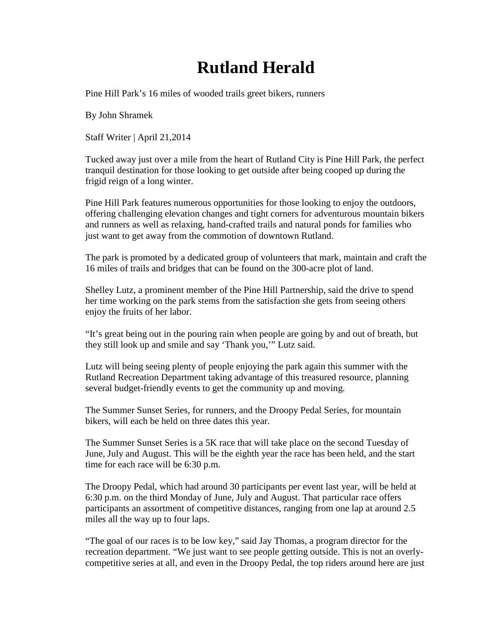## **Rutland Herald**

Pine Hill Park's 16 miles of wooded trails greet bikers, runners

By John Shramek

Staff Writer | April 21,2014

Tucked away just over a mile from the heart of Rutland City is Pine Hill Park, the perfect tranquil destination for those looking to get outside after being cooped up during the frigid reign of a long winter.

Pine Hill Park features numerous opportunities for those looking to enjoy the outdoors, offering challenging elevation changes and tight corners for adventurous mountain bikers and runners as well as relaxing, hand-crafted trails and natural ponds for families who just want to get away from the commotion of downtown Rutland.

The park is promoted by a dedicated group of volunteers that mark, maintain and craft the 16 miles of trails and bridges that can be found on the 300-acre plot of land.

Shelley Lutz, a prominent member of the Pine Hill Partnership, said the drive to spend her time working on the park stems from the satisfaction she gets from seeing others enjoy the fruits of her labor.

"It's great being out in the pouring rain when people are going by and out of breath, but they still look up and smile and say 'Thank you,'" Lutz said.

Lutz will being seeing plenty of people enjoying the park again this summer with the Rutland Recreation Department taking advantage of this treasured resource, planning several budget-friendly events to get the community up and moving.

The Summer Sunset Series, for runners, and the Droopy Pedal Series, for mountain bikers, will each be held on three dates this year.

The Summer Sunset Series is a 5K race that will take place on the second Tuesday of June, July and August. This will be the eighth year the race has been held, and the start time for each race will be 6:30 p.m.

The Droopy Pedal, which had around 30 participants per event last year, will be held at 6:30 p.m. on the third Monday of June, July and August. That particular race offers participants an assortment of competitive distances, ranging from one lap at around 2.5 miles all the way up to four laps.

"The goal of our races is to be low key," said Jay Thomas, a program director for the recreation department. "We just want to see people getting outside. This is not an overlycompetitive series at all, and even in the Droopy Pedal, the top riders around here are just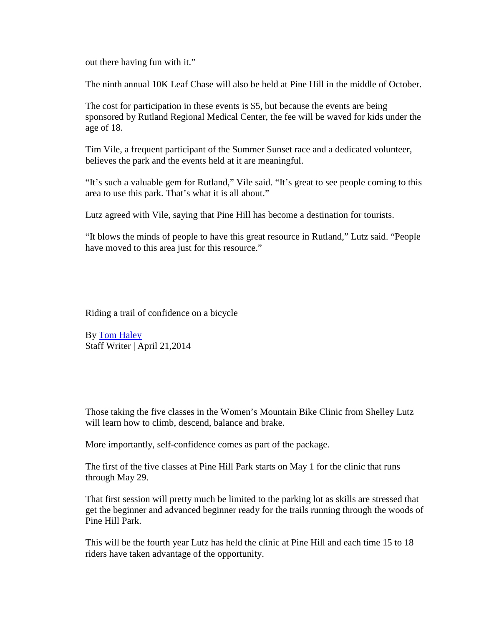out there having fun with it."

The ninth annual 10K Leaf Chase will also be held at Pine Hill in the middle of October.

The cost for participation in these events is \$5, but because the events are being sponsored by Rutland Regional Medical Center, the fee will be waved for kids under the age of 18.

Tim Vile, a frequent participant of the Summer Sunset race and a dedicated volunteer, believes the park and the events held at it are meaningful.

"It's such a valuable gem for Rutland," Vile said. "It's great to see people coming to this area to use this park. That's what it is all about."

Lutz agreed with Vile, saying that Pine Hill has become a destination for tourists.

"It blows the minds of people to have this great resource in Rutland," Lutz said. "People have moved to this area just for this resource."

Riding a trail of confidence on a bicycle

By [Tom Haley](mailto:tom.haley@rutlandherald.com) Staff Writer | April 21,2014

Those taking the five classes in the Women's Mountain Bike Clinic from Shelley Lutz will learn how to climb, descend, balance and brake.

More importantly, self-confidence comes as part of the package.

The first of the five classes at Pine Hill Park starts on May 1 for the clinic that runs through May 29.

That first session will pretty much be limited to the parking lot as skills are stressed that get the beginner and advanced beginner ready for the trails running through the woods of Pine Hill Park.

This will be the fourth year Lutz has held the clinic at Pine Hill and each time 15 to 18 riders have taken advantage of the opportunity.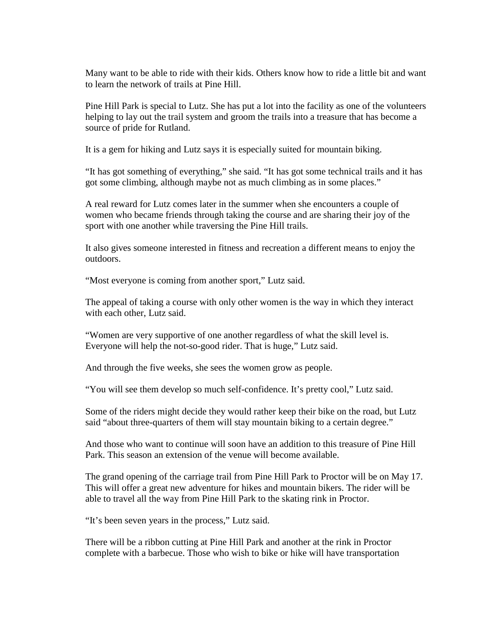Many want to be able to ride with their kids. Others know how to ride a little bit and want to learn the network of trails at Pine Hill.

Pine Hill Park is special to Lutz. She has put a lot into the facility as one of the volunteers helping to lay out the trail system and groom the trails into a treasure that has become a source of pride for Rutland.

It is a gem for hiking and Lutz says it is especially suited for mountain biking.

"It has got something of everything," she said. "It has got some technical trails and it has got some climbing, although maybe not as much climbing as in some places."

A real reward for Lutz comes later in the summer when she encounters a couple of women who became friends through taking the course and are sharing their joy of the sport with one another while traversing the Pine Hill trails.

It also gives someone interested in fitness and recreation a different means to enjoy the outdoors.

"Most everyone is coming from another sport," Lutz said.

The appeal of taking a course with only other women is the way in which they interact with each other, Lutz said.

"Women are very supportive of one another regardless of what the skill level is. Everyone will help the not-so-good rider. That is huge," Lutz said.

And through the five weeks, she sees the women grow as people.

"You will see them develop so much self-confidence. It's pretty cool," Lutz said.

Some of the riders might decide they would rather keep their bike on the road, but Lutz said "about three-quarters of them will stay mountain biking to a certain degree."

And those who want to continue will soon have an addition to this treasure of Pine Hill Park. This season an extension of the venue will become available.

The grand opening of the carriage trail from Pine Hill Park to Proctor will be on May 17. This will offer a great new adventure for hikes and mountain bikers. The rider will be able to travel all the way from Pine Hill Park to the skating rink in Proctor.

"It's been seven years in the process," Lutz said.

There will be a ribbon cutting at Pine Hill Park and another at the rink in Proctor complete with a barbecue. Those who wish to bike or hike will have transportation